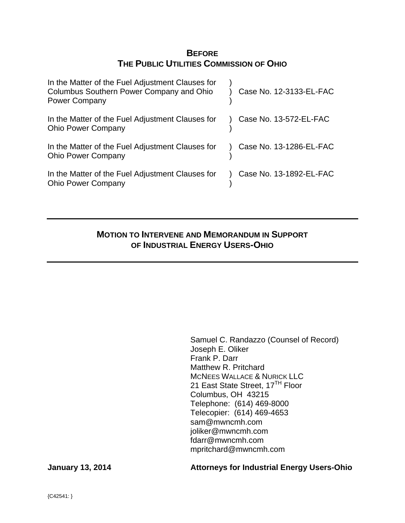# **BEFORE THE PUBLIC UTILITIES COMMISSION OF OHIO**

| In the Matter of the Fuel Adjustment Clauses for<br>Columbus Southern Power Company and Ohio<br><b>Power Company</b> | Case No. 12-3133-EL-FAC |
|----------------------------------------------------------------------------------------------------------------------|-------------------------|
| In the Matter of the Fuel Adjustment Clauses for<br><b>Ohio Power Company</b>                                        | Case No. 13-572-EL-FAC  |
| In the Matter of the Fuel Adjustment Clauses for<br><b>Ohio Power Company</b>                                        | Case No. 13-1286-EL-FAC |
| In the Matter of the Fuel Adjustment Clauses for<br><b>Ohio Power Company</b>                                        | Case No. 13-1892-EL-FAC |

# **MOTION TO INTERVENE AND MEMORANDUM IN SUPPORT OF INDUSTRIAL ENERGY USERS-OHIO**

Samuel C. Randazzo (Counsel of Record) Joseph E. Oliker Frank P. Darr Matthew R. Pritchard MCNEES WALLACE & NURICK LLC 21 East State Street, 17<sup>TH</sup> Floor Columbus, OH 43215 Telephone: (614) 469-8000 Telecopier: (614) 469-4653 sam@mwncmh.com joliker@mwncmh.com fdarr@mwncmh.com mpritchard@mwncmh.com

## **January 13, 2014 Attorneys for Industrial Energy Users-Ohio**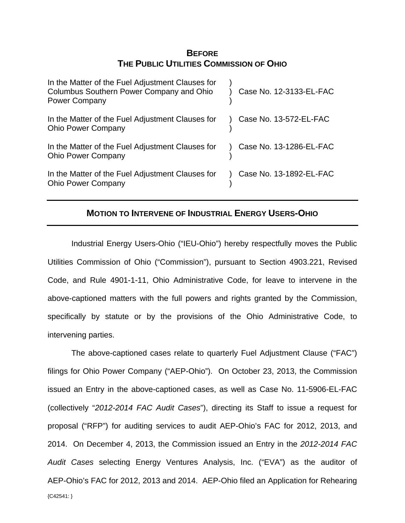# **BEFORE THE PUBLIC UTILITIES COMMISSION OF OHIO**

| In the Matter of the Fuel Adjustment Clauses for<br>Columbus Southern Power Company and Ohio<br><b>Power Company</b> | Case No. 12-3133-EL-FAC |
|----------------------------------------------------------------------------------------------------------------------|-------------------------|
| In the Matter of the Fuel Adjustment Clauses for<br><b>Ohio Power Company</b>                                        | Case No. 13-572-EL-FAC  |
| In the Matter of the Fuel Adjustment Clauses for<br><b>Ohio Power Company</b>                                        | Case No. 13-1286-EL-FAC |
| In the Matter of the Fuel Adjustment Clauses for<br><b>Ohio Power Company</b>                                        | Case No. 13-1892-EL-FAC |

## **MOTION TO INTERVENE OF INDUSTRIAL ENERGY USERS-OHIO**

Industrial Energy Users-Ohio ("IEU-Ohio") hereby respectfully moves the Public Utilities Commission of Ohio ("Commission"), pursuant to Section 4903.221, Revised Code, and Rule 4901-1-11, Ohio Administrative Code, for leave to intervene in the above-captioned matters with the full powers and rights granted by the Commission, specifically by statute or by the provisions of the Ohio Administrative Code, to intervening parties.

{C42541: } The above-captioned cases relate to quarterly Fuel Adjustment Clause ("FAC") filings for Ohio Power Company ("AEP-Ohio"). On October 23, 2013, the Commission issued an Entry in the above-captioned cases, as well as Case No. 11-5906-EL-FAC (collectively "*2012-2014 FAC Audit Cases*"), directing its Staff to issue a request for proposal ("RFP") for auditing services to audit AEP-Ohio's FAC for 2012, 2013, and 2014. On December 4, 2013, the Commission issued an Entry in the *2012-2014 FAC Audit Cases* selecting Energy Ventures Analysis, Inc. ("EVA") as the auditor of AEP-Ohio's FAC for 2012, 2013 and 2014. AEP-Ohio filed an Application for Rehearing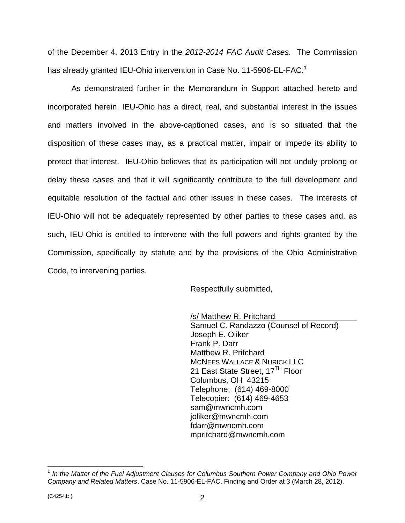of the December 4, 2013 Entry in the *2012-2014 FAC Audit Cases*. The Commission has already granted IEU-Ohio intervention in Case No. 11-5906-EL-FAC.<sup>1</sup>

As demonstrated further in the Memorandum in Support attached hereto and incorporated herein, IEU-Ohio has a direct, real, and substantial interest in the issues and matters involved in the above-captioned cases, and is so situated that the disposition of these cases may, as a practical matter, impair or impede its ability to protect that interest. IEU-Ohio believes that its participation will not unduly prolong or delay these cases and that it will significantly contribute to the full development and equitable resolution of the factual and other issues in these cases. The interests of IEU-Ohio will not be adequately represented by other parties to these cases and, as such, IEU-Ohio is entitled to intervene with the full powers and rights granted by the Commission, specifically by statute and by the provisions of the Ohio Administrative Code, to intervening parties.

Respectfully submitted,

 /s/ Matthew R. Pritchard Samuel C. Randazzo (Counsel of Record) Joseph E. Oliker Frank P. Darr Matthew R. Pritchard MCNEES WALLACE & NURICK LLC 21 East State Street, 17<sup>TH</sup> Floor Columbus, OH 43215 Telephone: (614) 469-8000 Telecopier: (614) 469-4653 sam@mwncmh.com joliker@mwncmh.com fdarr@mwncmh.com mpritchard@mwncmh.com

 $\overline{a}$ 

<sup>1</sup> *In the Matter of the Fuel Adjustment Clauses for Columbus Southern Power Company and Ohio Power Company and Related Matters*, Case No. 11-5906-EL-FAC, Finding and Order at 3 (March 28, 2012).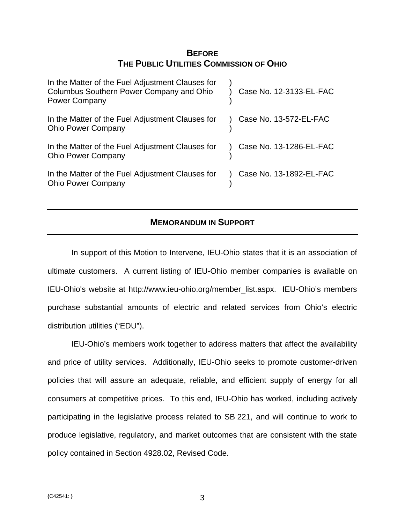# **BEFORE THE PUBLIC UTILITIES COMMISSION OF OHIO**

| In the Matter of the Fuel Adjustment Clauses for<br>Columbus Southern Power Company and Ohio<br><b>Power Company</b> | Case No. 12-3133-EL-FAC |
|----------------------------------------------------------------------------------------------------------------------|-------------------------|
| In the Matter of the Fuel Adjustment Clauses for<br><b>Ohio Power Company</b>                                        | Case No. 13-572-EL-FAC  |
| In the Matter of the Fuel Adjustment Clauses for<br><b>Ohio Power Company</b>                                        | Case No. 13-1286-EL-FAC |
| In the Matter of the Fuel Adjustment Clauses for<br><b>Ohio Power Company</b>                                        | Case No. 13-1892-EL-FAC |

## **MEMORANDUM IN SUPPORT**

In support of this Motion to Intervene, IEU-Ohio states that it is an association of ultimate customers. A current listing of IEU-Ohio member companies is available on IEU-Ohio's website at http://www.ieu-ohio.org/member\_list.aspx. IEU-Ohio's members purchase substantial amounts of electric and related services from Ohio's electric distribution utilities ("EDU").

IEU-Ohio's members work together to address matters that affect the availability and price of utility services. Additionally, IEU-Ohio seeks to promote customer-driven policies that will assure an adequate, reliable, and efficient supply of energy for all consumers at competitive prices. To this end, IEU-Ohio has worked, including actively participating in the legislative process related to SB 221, and will continue to work to produce legislative, regulatory, and market outcomes that are consistent with the state policy contained in Section 4928.02, Revised Code.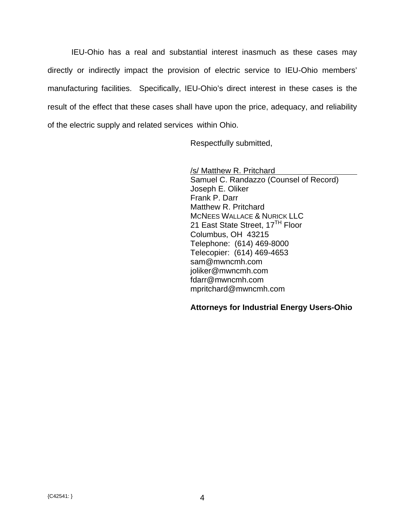IEU-Ohio has a real and substantial interest inasmuch as these cases may directly or indirectly impact the provision of electric service to IEU-Ohio members' manufacturing facilities. Specifically, IEU-Ohio's direct interest in these cases is the result of the effect that these cases shall have upon the price, adequacy, and reliability of the electric supply and related services within Ohio.

Respectfully submitted,

 /s/ Matthew R. Pritchard Samuel C. Randazzo (Counsel of Record) Joseph E. Oliker Frank P. Darr Matthew R. Pritchard MCNEES WALLACE & NURICK LLC 21 East State Street, 17<sup>TH</sup> Floor Columbus, OH 43215 Telephone: (614) 469-8000 Telecopier: (614) 469-4653 sam@mwncmh.com joliker@mwncmh.com fdarr@mwncmh.com mpritchard@mwncmh.com

### **Attorneys for Industrial Energy Users-Ohio**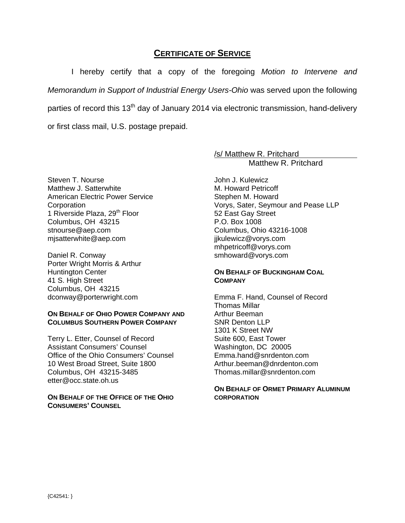## **CERTIFICATE OF SERVICE**

I hereby certify that a copy of the foregoing *Motion to Intervene and Memorandum in Support of Industrial Energy Users-Ohio* was served upon the following parties of record this 13<sup>th</sup> day of January 2014 via electronic transmission, hand-delivery or first class mail, U.S. postage prepaid.

/s/ Matthew R. Pritchard

Matthew R. Pritchard

Steven T. Nourse Matthew J. Satterwhite American Electric Power Service **Corporation** 1 Riverside Plaza, 29<sup>th</sup> Floor Columbus, OH 43215 stnourse@aep.com mjsatterwhite@aep.com

Daniel R. Conway Porter Wright Morris & Arthur Huntington Center 41 S. High Street Columbus, OH 43215 dconway@porterwright.com

#### **ON BEHALF OF OHIO POWER COMPANY AND COLUMBUS SOUTHERN POWER COMPANY**

Terry L. Etter, Counsel of Record Assistant Consumers' Counsel Office of the Ohio Consumers' Counsel 10 West Broad Street, Suite 1800 Columbus, OH 43215-3485 etter@occ.state.oh.us

#### **ON BEHALF OF THE OFFICE OF THE OHIO CONSUMERS' COUNSEL**

John J. Kulewicz M. Howard Petricoff Stephen M. Howard Vorys, Sater, Seymour and Pease LLP 52 East Gay Street P.O. Box 1008 Columbus, Ohio 43216-1008 jjkulewicz@vorys.com mhpetricoff@vorys.com smhoward@vorys.com

### **ON BEHALF OF BUCKINGHAM COAL COMPANY**

Emma F. Hand, Counsel of Record Thomas Millar Arthur Beeman SNR Denton LLP 1301 K Street NW Suite 600, East Tower Washington, DC 20005 Emma.hand@snrdenton.com Arthur.beeman@dnrdenton.com Thomas.millar@snrdenton.com

#### **ON BEHALF OF ORMET PRIMARY ALUMINUM CORPORATION**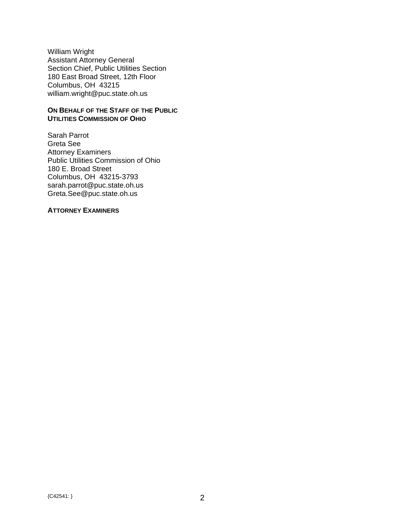William Wright Assistant Attorney General Section Chief, Public Utilities Section 180 East Broad Street, 12th Floor Columbus, OH 43215 william.wright@puc.state.oh.us

#### **ON BEHALF OF THE STAFF OF THE PUBLIC UTILITIES COMMISSION OF OHIO**

Sarah Parrot Greta See Attorney Examiners Public Utilities Commission of Ohio 180 E. Broad Street Columbus, OH 43215-3793 sarah.parrot@puc.state.oh.us Greta.See@puc.state.oh.us

#### **ATTORNEY EXAMINERS**